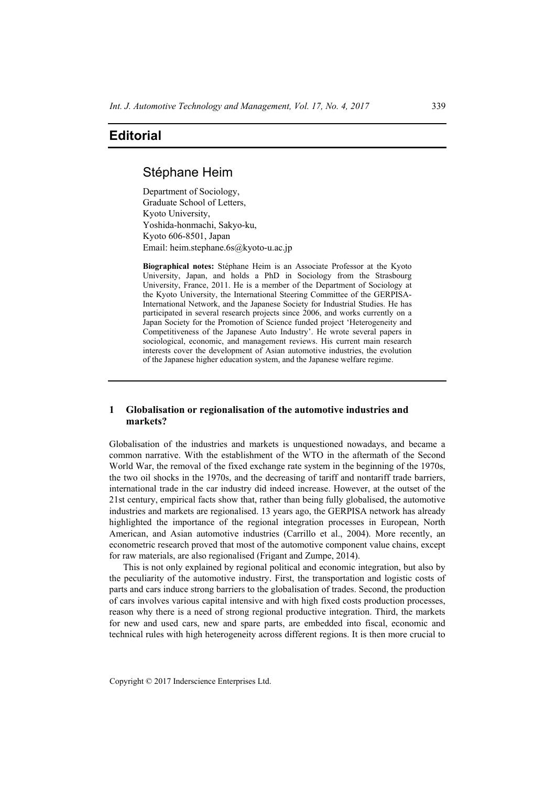# **Editorial**

# Stéphane Heim

Department of Sociology, Graduate School of Letters, Kyoto University, Yoshida-honmachi, Sakyo-ku, Kyoto 606-8501, Japan Email: heim.stephane.6s@kyoto-u.ac.jp

**Biographical notes:** Stéphane Heim is an Associate Professor at the Kyoto University, Japan, and holds a PhD in Sociology from the Strasbourg University, France, 2011. He is a member of the Department of Sociology at the Kyoto University, the International Steering Committee of the GERPISA-International Network, and the Japanese Society for Industrial Studies. He has participated in several research projects since 2006, and works currently on a Japan Society for the Promotion of Science funded project 'Heterogeneity and Competitiveness of the Japanese Auto Industry'. He wrote several papers in sociological, economic, and management reviews. His current main research interests cover the development of Asian automotive industries, the evolution of the Japanese higher education system, and the Japanese welfare regime.

### **1 Globalisation or regionalisation of the automotive industries and markets?**

Globalisation of the industries and markets is unquestioned nowadays, and became a common narrative. With the establishment of the WTO in the aftermath of the Second World War, the removal of the fixed exchange rate system in the beginning of the 1970s, the two oil shocks in the 1970s, and the decreasing of tariff and nontariff trade barriers, international trade in the car industry did indeed increase. However, at the outset of the 21st century, empirical facts show that, rather than being fully globalised, the automotive industries and markets are regionalised. 13 years ago, the GERPISA network has already highlighted the importance of the regional integration processes in European, North American, and Asian automotive industries (Carrillo et al., 2004). More recently, an econometric research proved that most of the automotive component value chains, except for raw materials, are also regionalised (Frigant and Zumpe, 2014).

This is not only explained by regional political and economic integration, but also by the peculiarity of the automotive industry. First, the transportation and logistic costs of parts and cars induce strong barriers to the globalisation of trades. Second, the production of cars involves various capital intensive and with high fixed costs production processes, reason why there is a need of strong regional productive integration. Third, the markets for new and used cars, new and spare parts, are embedded into fiscal, economic and technical rules with high heterogeneity across different regions. It is then more crucial to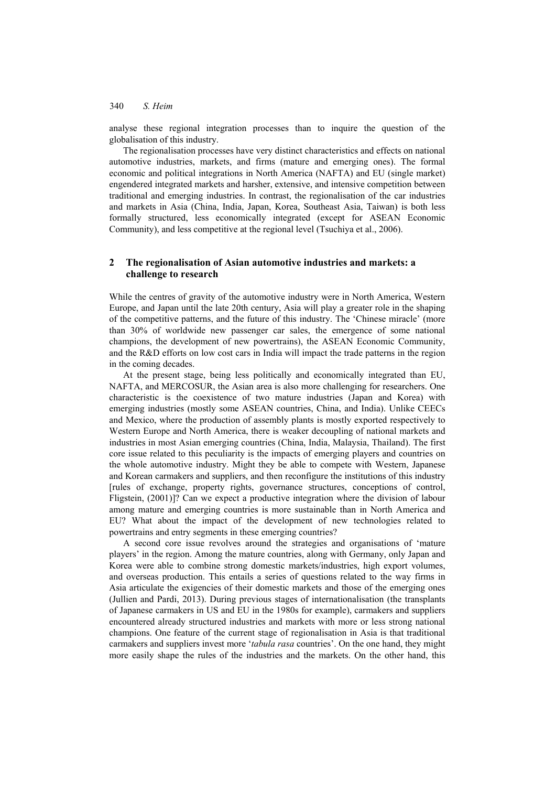### 340 *S. Heim*

analyse these regional integration processes than to inquire the question of the globalisation of this industry.

The regionalisation processes have very distinct characteristics and effects on national automotive industries, markets, and firms (mature and emerging ones). The formal economic and political integrations in North America (NAFTA) and EU (single market) engendered integrated markets and harsher, extensive, and intensive competition between traditional and emerging industries. In contrast, the regionalisation of the car industries and markets in Asia (China, India, Japan, Korea, Southeast Asia, Taiwan) is both less formally structured, less economically integrated (except for ASEAN Economic Community), and less competitive at the regional level (Tsuchiya et al., 2006).

## **2 The regionalisation of Asian automotive industries and markets: a challenge to research**

While the centres of gravity of the automotive industry were in North America, Western Europe, and Japan until the late 20th century, Asia will play a greater role in the shaping of the competitive patterns, and the future of this industry. The 'Chinese miracle' (more than 30% of worldwide new passenger car sales, the emergence of some national champions, the development of new powertrains), the ASEAN Economic Community, and the R&D efforts on low cost cars in India will impact the trade patterns in the region in the coming decades.

At the present stage, being less politically and economically integrated than EU, NAFTA, and MERCOSUR, the Asian area is also more challenging for researchers. One characteristic is the coexistence of two mature industries (Japan and Korea) with emerging industries (mostly some ASEAN countries, China, and India). Unlike CEECs and Mexico, where the production of assembly plants is mostly exported respectively to Western Europe and North America, there is weaker decoupling of national markets and industries in most Asian emerging countries (China, India, Malaysia, Thailand). The first core issue related to this peculiarity is the impacts of emerging players and countries on the whole automotive industry. Might they be able to compete with Western, Japanese and Korean carmakers and suppliers, and then reconfigure the institutions of this industry [rules of exchange, property rights, governance structures, conceptions of control, Fligstein, (2001)]? Can we expect a productive integration where the division of labour among mature and emerging countries is more sustainable than in North America and EU? What about the impact of the development of new technologies related to powertrains and entry segments in these emerging countries?

A second core issue revolves around the strategies and organisations of 'mature players' in the region. Among the mature countries, along with Germany, only Japan and Korea were able to combine strong domestic markets/industries, high export volumes, and overseas production. This entails a series of questions related to the way firms in Asia articulate the exigencies of their domestic markets and those of the emerging ones (Jullien and Pardi, 2013). During previous stages of internationalisation (the transplants of Japanese carmakers in US and EU in the 1980s for example), carmakers and suppliers encountered already structured industries and markets with more or less strong national champions. One feature of the current stage of regionalisation in Asia is that traditional carmakers and suppliers invest more '*tabula rasa* countries'. On the one hand, they might more easily shape the rules of the industries and the markets. On the other hand, this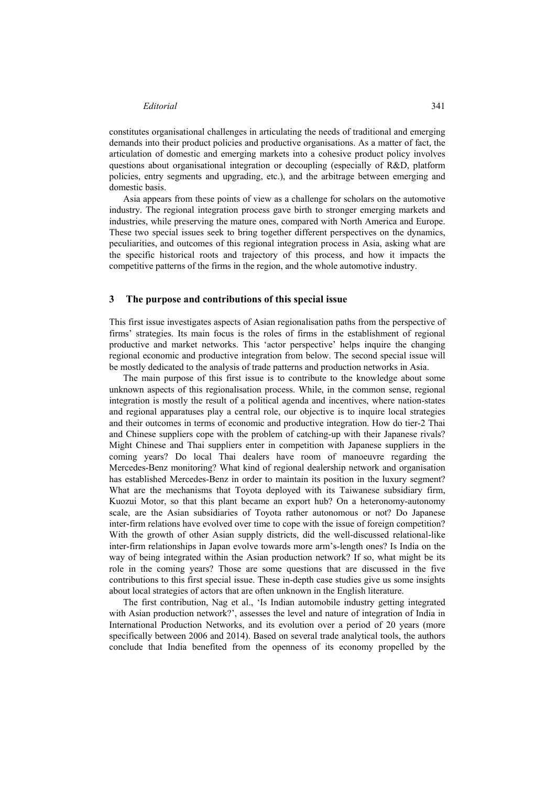#### *Editorial* 341

constitutes organisational challenges in articulating the needs of traditional and emerging demands into their product policies and productive organisations. As a matter of fact, the articulation of domestic and emerging markets into a cohesive product policy involves questions about organisational integration or decoupling (especially of R&D, platform policies, entry segments and upgrading, etc.), and the arbitrage between emerging and domestic basis.

Asia appears from these points of view as a challenge for scholars on the automotive industry. The regional integration process gave birth to stronger emerging markets and industries, while preserving the mature ones, compared with North America and Europe. These two special issues seek to bring together different perspectives on the dynamics, peculiarities, and outcomes of this regional integration process in Asia, asking what are the specific historical roots and trajectory of this process, and how it impacts the competitive patterns of the firms in the region, and the whole automotive industry.

#### **3 The purpose and contributions of this special issue**

This first issue investigates aspects of Asian regionalisation paths from the perspective of firms' strategies. Its main focus is the roles of firms in the establishment of regional productive and market networks. This 'actor perspective' helps inquire the changing regional economic and productive integration from below. The second special issue will be mostly dedicated to the analysis of trade patterns and production networks in Asia.

The main purpose of this first issue is to contribute to the knowledge about some unknown aspects of this regionalisation process. While, in the common sense, regional integration is mostly the result of a political agenda and incentives, where nation-states and regional apparatuses play a central role, our objective is to inquire local strategies and their outcomes in terms of economic and productive integration. How do tier-2 Thai and Chinese suppliers cope with the problem of catching-up with their Japanese rivals? Might Chinese and Thai suppliers enter in competition with Japanese suppliers in the coming years? Do local Thai dealers have room of manoeuvre regarding the Mercedes-Benz monitoring? What kind of regional dealership network and organisation has established Mercedes-Benz in order to maintain its position in the luxury segment? What are the mechanisms that Toyota deployed with its Taiwanese subsidiary firm, Kuozui Motor, so that this plant became an export hub? On a heteronomy-autonomy scale, are the Asian subsidiaries of Toyota rather autonomous or not? Do Japanese inter-firm relations have evolved over time to cope with the issue of foreign competition? With the growth of other Asian supply districts, did the well-discussed relational-like inter-firm relationships in Japan evolve towards more arm's-length ones? Is India on the way of being integrated within the Asian production network? If so, what might be its role in the coming years? Those are some questions that are discussed in the five contributions to this first special issue. These in-depth case studies give us some insights about local strategies of actors that are often unknown in the English literature.

The first contribution, Nag et al., 'Is Indian automobile industry getting integrated with Asian production network?', assesses the level and nature of integration of India in International Production Networks, and its evolution over a period of 20 years (more specifically between 2006 and 2014). Based on several trade analytical tools, the authors conclude that India benefited from the openness of its economy propelled by the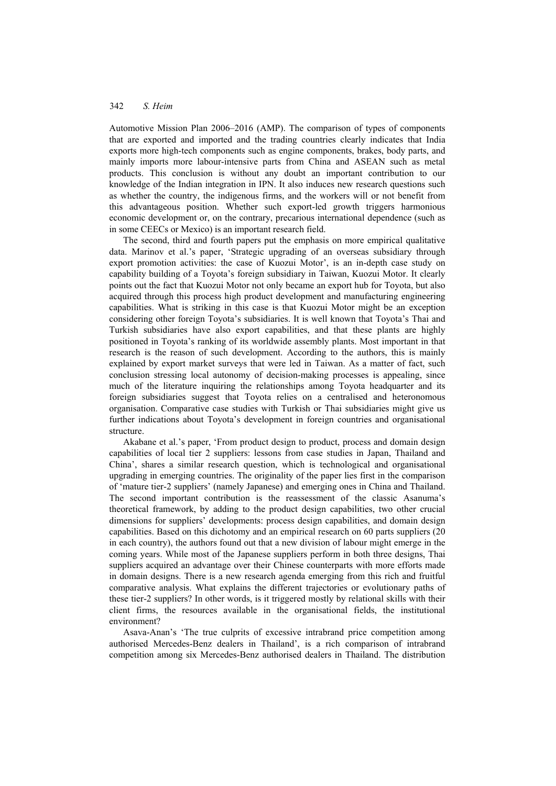### 342 *S. Heim*

Automotive Mission Plan 2006–2016 (AMP). The comparison of types of components that are exported and imported and the trading countries clearly indicates that India exports more high-tech components such as engine components, brakes, body parts, and mainly imports more labour-intensive parts from China and ASEAN such as metal products. This conclusion is without any doubt an important contribution to our knowledge of the Indian integration in IPN. It also induces new research questions such as whether the country, the indigenous firms, and the workers will or not benefit from this advantageous position. Whether such export-led growth triggers harmonious economic development or, on the contrary, precarious international dependence (such as in some CEECs or Mexico) is an important research field.

The second, third and fourth papers put the emphasis on more empirical qualitative data. Marinov et al.'s paper, 'Strategic upgrading of an overseas subsidiary through export promotion activities: the case of Kuozui Motor', is an in-depth case study on capability building of a Toyota's foreign subsidiary in Taiwan, Kuozui Motor. It clearly points out the fact that Kuozui Motor not only became an export hub for Toyota, but also acquired through this process high product development and manufacturing engineering capabilities. What is striking in this case is that Kuozui Motor might be an exception considering other foreign Toyota's subsidiaries. It is well known that Toyota's Thai and Turkish subsidiaries have also export capabilities, and that these plants are highly positioned in Toyota's ranking of its worldwide assembly plants. Most important in that research is the reason of such development. According to the authors, this is mainly explained by export market surveys that were led in Taiwan. As a matter of fact, such conclusion stressing local autonomy of decision-making processes is appealing, since much of the literature inquiring the relationships among Toyota headquarter and its foreign subsidiaries suggest that Toyota relies on a centralised and heteronomous organisation. Comparative case studies with Turkish or Thai subsidiaries might give us further indications about Toyota's development in foreign countries and organisational structure.

Akabane et al.'s paper, 'From product design to product, process and domain design capabilities of local tier 2 suppliers: lessons from case studies in Japan, Thailand and China', shares a similar research question, which is technological and organisational upgrading in emerging countries. The originality of the paper lies first in the comparison of 'mature tier-2 suppliers' (namely Japanese) and emerging ones in China and Thailand. The second important contribution is the reassessment of the classic Asanuma's theoretical framework, by adding to the product design capabilities, two other crucial dimensions for suppliers' developments: process design capabilities, and domain design capabilities. Based on this dichotomy and an empirical research on 60 parts suppliers (20 in each country), the authors found out that a new division of labour might emerge in the coming years. While most of the Japanese suppliers perform in both three designs, Thai suppliers acquired an advantage over their Chinese counterparts with more efforts made in domain designs. There is a new research agenda emerging from this rich and fruitful comparative analysis. What explains the different trajectories or evolutionary paths of these tier-2 suppliers? In other words, is it triggered mostly by relational skills with their client firms, the resources available in the organisational fields, the institutional environment?

Asava-Anan's 'The true culprits of excessive intrabrand price competition among authorised Mercedes-Benz dealers in Thailand', is a rich comparison of intrabrand competition among six Mercedes-Benz authorised dealers in Thailand. The distribution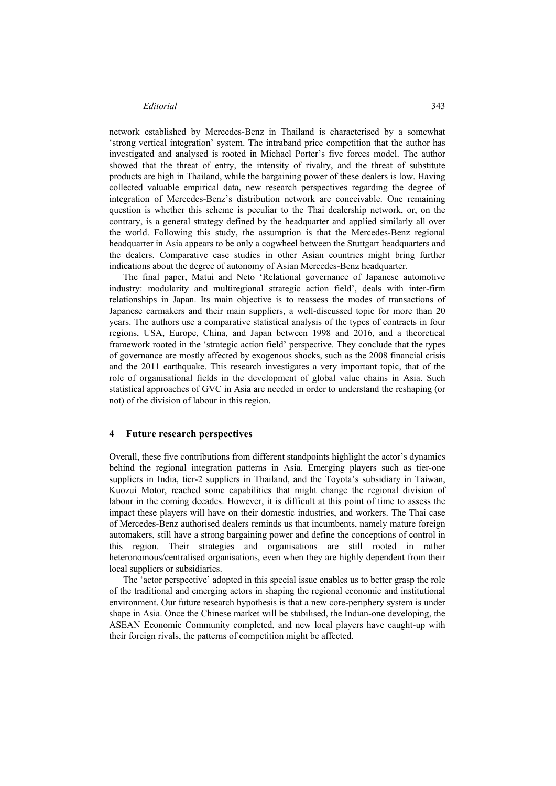#### *Editorial* 343

network established by Mercedes-Benz in Thailand is characterised by a somewhat 'strong vertical integration' system. The intraband price competition that the author has investigated and analysed is rooted in Michael Porter's five forces model. The author showed that the threat of entry, the intensity of rivalry, and the threat of substitute products are high in Thailand, while the bargaining power of these dealers is low. Having collected valuable empirical data, new research perspectives regarding the degree of integration of Mercedes-Benz's distribution network are conceivable. One remaining question is whether this scheme is peculiar to the Thai dealership network, or, on the contrary, is a general strategy defined by the headquarter and applied similarly all over the world. Following this study, the assumption is that the Mercedes-Benz regional headquarter in Asia appears to be only a cogwheel between the Stuttgart headquarters and the dealers. Comparative case studies in other Asian countries might bring further indications about the degree of autonomy of Asian Mercedes-Benz headquarter.

The final paper, Matui and Neto 'Relational governance of Japanese automotive industry: modularity and multiregional strategic action field', deals with inter-firm relationships in Japan. Its main objective is to reassess the modes of transactions of Japanese carmakers and their main suppliers, a well-discussed topic for more than 20 years. The authors use a comparative statistical analysis of the types of contracts in four regions, USA, Europe, China, and Japan between 1998 and 2016, and a theoretical framework rooted in the 'strategic action field' perspective. They conclude that the types of governance are mostly affected by exogenous shocks, such as the 2008 financial crisis and the 2011 earthquake. This research investigates a very important topic, that of the role of organisational fields in the development of global value chains in Asia. Such statistical approaches of GVC in Asia are needed in order to understand the reshaping (or not) of the division of labour in this region.

#### **4 Future research perspectives**

Overall, these five contributions from different standpoints highlight the actor's dynamics behind the regional integration patterns in Asia. Emerging players such as tier-one suppliers in India, tier-2 suppliers in Thailand, and the Toyota's subsidiary in Taiwan, Kuozui Motor, reached some capabilities that might change the regional division of labour in the coming decades. However, it is difficult at this point of time to assess the impact these players will have on their domestic industries, and workers. The Thai case of Mercedes-Benz authorised dealers reminds us that incumbents, namely mature foreign automakers, still have a strong bargaining power and define the conceptions of control in this region. Their strategies and organisations are still rooted in rather heteronomous/centralised organisations, even when they are highly dependent from their local suppliers or subsidiaries.

The 'actor perspective' adopted in this special issue enables us to better grasp the role of the traditional and emerging actors in shaping the regional economic and institutional environment. Our future research hypothesis is that a new core-periphery system is under shape in Asia. Once the Chinese market will be stabilised, the Indian-one developing, the ASEAN Economic Community completed, and new local players have caught-up with their foreign rivals, the patterns of competition might be affected.